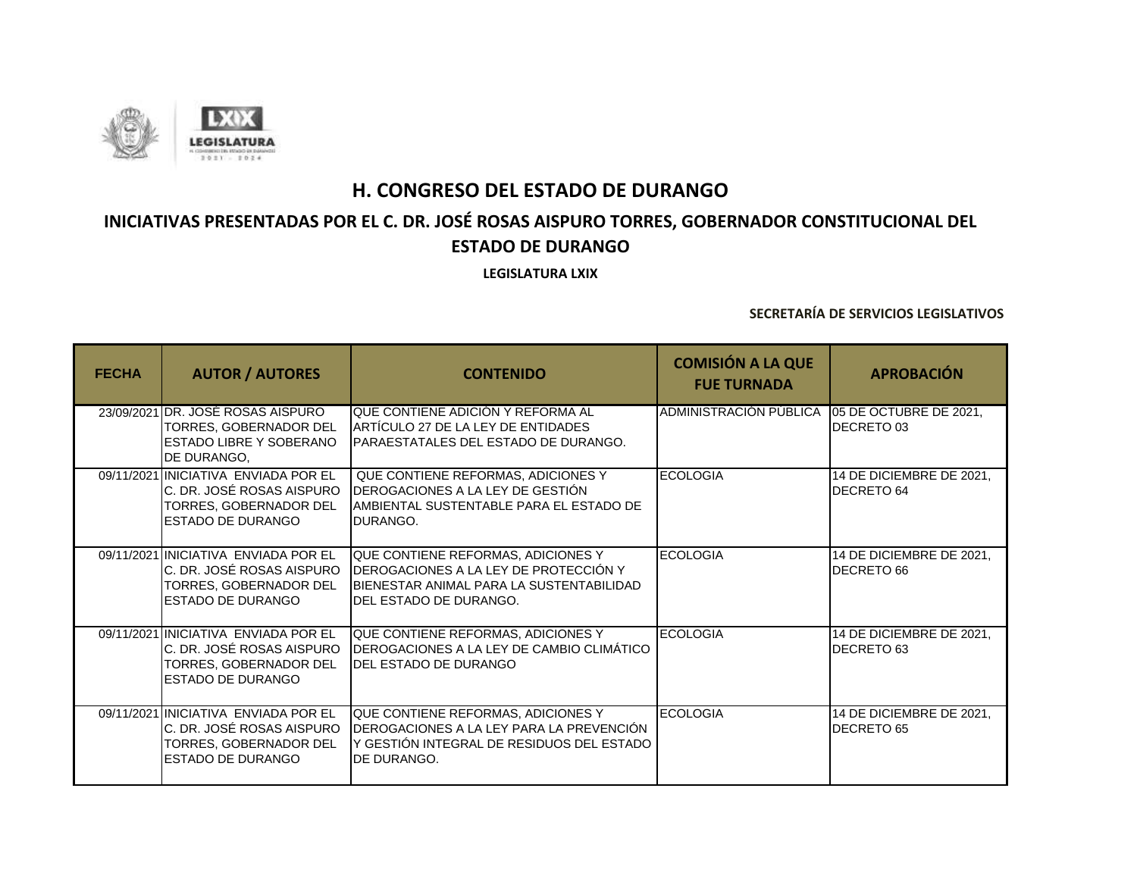

# **INICIATIVAS PRESENTADAS POR EL C. DR. JOSÉ ROSAS AISPURO TORRES, GOBERNADOR CONSTITUCIONAL DEL ESTADO DE DURANGO**

**LEGISLATURA LXIX**

| <b>FECHA</b> | <b>AUTOR / AUTORES</b>                                                                                           | <b>CONTENIDO</b>                                                                                                                                            | <b>COMISIÓN A LA QUE</b><br><b>FUE TURNADA</b> | <b>APROBACIÓN</b>                      |
|--------------|------------------------------------------------------------------------------------------------------------------|-------------------------------------------------------------------------------------------------------------------------------------------------------------|------------------------------------------------|----------------------------------------|
|              | 23/09/2021 DR. JOSE ROSAS AISPURO<br>TORRES, GOBERNADOR DEL<br>ESTADO LIBRE Y SOBERANO<br>DE DURANGO.            | QUE CONTIENE ADICIÓN Y REFORMA AL<br>ARTICULO 27 DE LA LEY DE ENTIDADES<br>IPARAESTATALES DEL ESTADO DE DURANGO.                                            | ADMINISTRACION PUBLICA                         | 05 DE OCTUBRE DE 2021,<br>DECRETO 03   |
|              | 09/11/2021 INICIATIVA ENVIADA POR EL<br>C. DR. JOSÉ ROSAS AISPURO<br>TORRES, GOBERNADOR DEL<br>ESTADO DE DURANGO | QUE CONTIENE REFORMAS, ADICIONES Y<br>DEROGACIONES A LA LEY DE GESTIÓN<br>IAMBIENTAL SUSTENTABLE PARA EL ESTADO DE<br>DURANGO.                              | <b>ECOLOGIA</b>                                | 14 DE DICIEMBRE DE 2021,<br>DECRETO 64 |
|              | 09/11/2021 INICIATIVA ENVIADA POR EL<br>C. DR. JOSÉ ROSAS AISPURO<br>TORRES, GOBERNADOR DEL<br>ESTADO DE DURANGO | QUE CONTIENE REFORMAS, ADICIONES Y<br><b>IDEROGACIONES A LA LEY DE PROTECCIÓN Y</b><br>IBIENESTAR ANIMAL PARA LA SUSTENTABILIDAD<br>IDEL ESTADO DE DURANGO. | <b>ECOLOGIA</b>                                | 14 DE DICIEMBRE DE 2021,<br>DECRETO 66 |
|              | 09/11/2021 INICIATIVA ENVIADA POR EL<br>C. DR. JOSÉ ROSAS AISPURO<br>TORRES, GOBERNADOR DEL<br>ESTADO DE DURANGO | QUE CONTIENE REFORMAS, ADICIONES Y<br>DEROGACIONES A LA LEY DE CAMBIO CLIMÁTICO<br><b>IDEL ESTADO DE DURANGO</b>                                            | <b>ECOLOGIA</b>                                | 14 DE DICIEMBRE DE 2021,<br>DECRETO 63 |
|              | 09/11/2021 INICIATIVA ENVIADA POR EL<br>C. DR. JOSÉ ROSAS AISPURO<br>TORRES, GOBERNADOR DEL<br>ESTADO DE DURANGO | QUE CONTIENE REFORMAS, ADICIONES Y<br>IDEROGACIONES A LA LEY PARA LA PREVENCIÓN<br>Y GESTION INTEGRAL DE RESIDUOS DEL ESTADO<br>DE DURANGO.                 | <b>ECOLOGIA</b>                                | 14 DE DICIEMBRE DE 2021,<br>DECRETO 65 |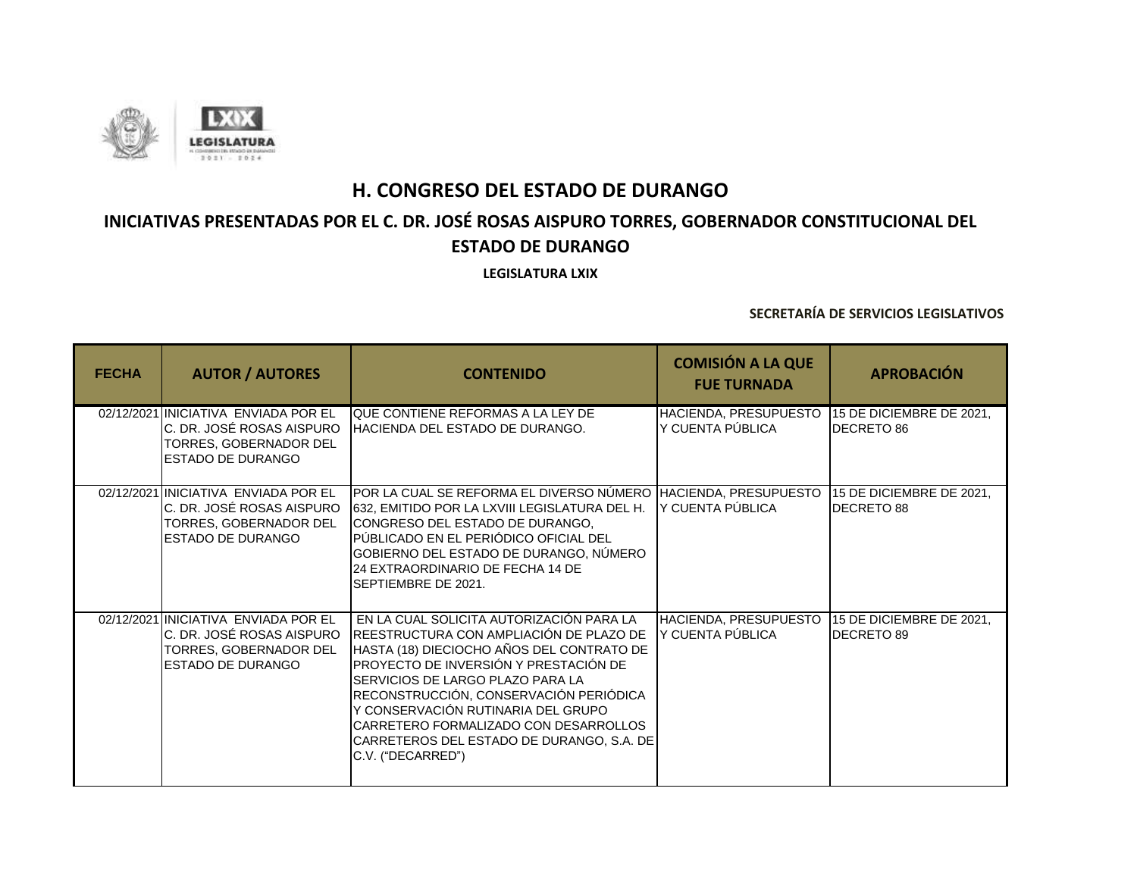

# **INICIATIVAS PRESENTADAS POR EL C. DR. JOSÉ ROSAS AISPURO TORRES, GOBERNADOR CONSTITUCIONAL DEL ESTADO DE DURANGO**

**LEGISLATURA LXIX**

| <b>FECHA</b> | <b>AUTOR / AUTORES</b>                                                                                                           | <b>CONTENIDO</b>                                                                                                                                                                                                                                                                                                                                                                                         | <b>COMISIÓN A LA QUE</b><br><b>FUE TURNADA</b> | <b>APROBACIÓN</b>                             |
|--------------|----------------------------------------------------------------------------------------------------------------------------------|----------------------------------------------------------------------------------------------------------------------------------------------------------------------------------------------------------------------------------------------------------------------------------------------------------------------------------------------------------------------------------------------------------|------------------------------------------------|-----------------------------------------------|
|              | 02/12/2021 INICIATIVA ENVIADA POR EL<br>C. DR. JOSÉ ROSAS AISPURO<br>TORRES, GOBERNADOR DEL<br><b>ESTADO DE DURANGO</b>          | QUE CONTIENE REFORMAS A LA LEY DE<br><b>IHACIENDA DEL ESTADO DE DURANGO.</b>                                                                                                                                                                                                                                                                                                                             | HACIENDA, PRESUPUESTO<br>Y CUENTA PÚBLICA      | 15 DE DICIEMBRE DE 2021,<br><b>DECRETO 86</b> |
|              | 02/12/2021 INICIATIVA ENVIADA POR EL<br>C. DR. JOSÉ ROSAS AISPURO<br>TORRES, GOBERNADOR DEL<br><b>ESTADO DE DURANGO</b>          | POR LA CUAL SE REFORMA EL DIVERSO NÚMERO HACIENDA, PRESUPUESTO<br>632, EMITIDO POR LA LXVIII LEGISLATURA DEL H.<br>CONGRESO DEL ESTADO DE DURANGO,<br>PÚBLICADO EN EL PERIÓDICO OFICIAL DEL<br>GOBIERNO DEL ESTADO DE DURANGO, NÚMERO<br>24 EXTRAORDINARIO DE FECHA 14 DE<br>SEPTIEMBRE DE 2021.                                                                                                         | IY CUENTA PÚBLICA                              | 15 DE DICIEMBRE DE 2021,<br>DECRETO 88        |
|              | 02/12/2021 INICIATIVA ENVIADA POR EL<br>C. DR. JOSÉ ROSAS AISPURO<br><b>ITORRES. GOBERNADOR DEL</b><br><b>IESTADO DE DURANGO</b> | EN LA CUAL SOLICITA AUTORIZACIÓN PARA LA<br>REESTRUCTURA CON AMPLIACIÓN DE PLAZO DE<br>HASTA (18) DIECIOCHO AÑOS DEL CONTRATO DE<br>PROYECTO DE INVERSIÓN Y PRESTACIÓN DE<br>SERVICIOS DE LARGO PLAZO PARA LA<br>RECONSTRUCCIÓN, CONSERVACIÓN PERIÓDICA<br>Y CONSERVACIÓN RUTINARIA DEL GRUPO<br>CARRETERO FORMALIZADO CON DESARROLLOS<br>CARRETEROS DEL ESTADO DE DURANGO, S.A. DE<br>C.V. ("DECARRED") | HACIENDA, PRESUPUESTO<br>Y CUENTA PÚBLICA      | 15 DE DICIEMBRE DE 2021,<br><b>DECRETO 89</b> |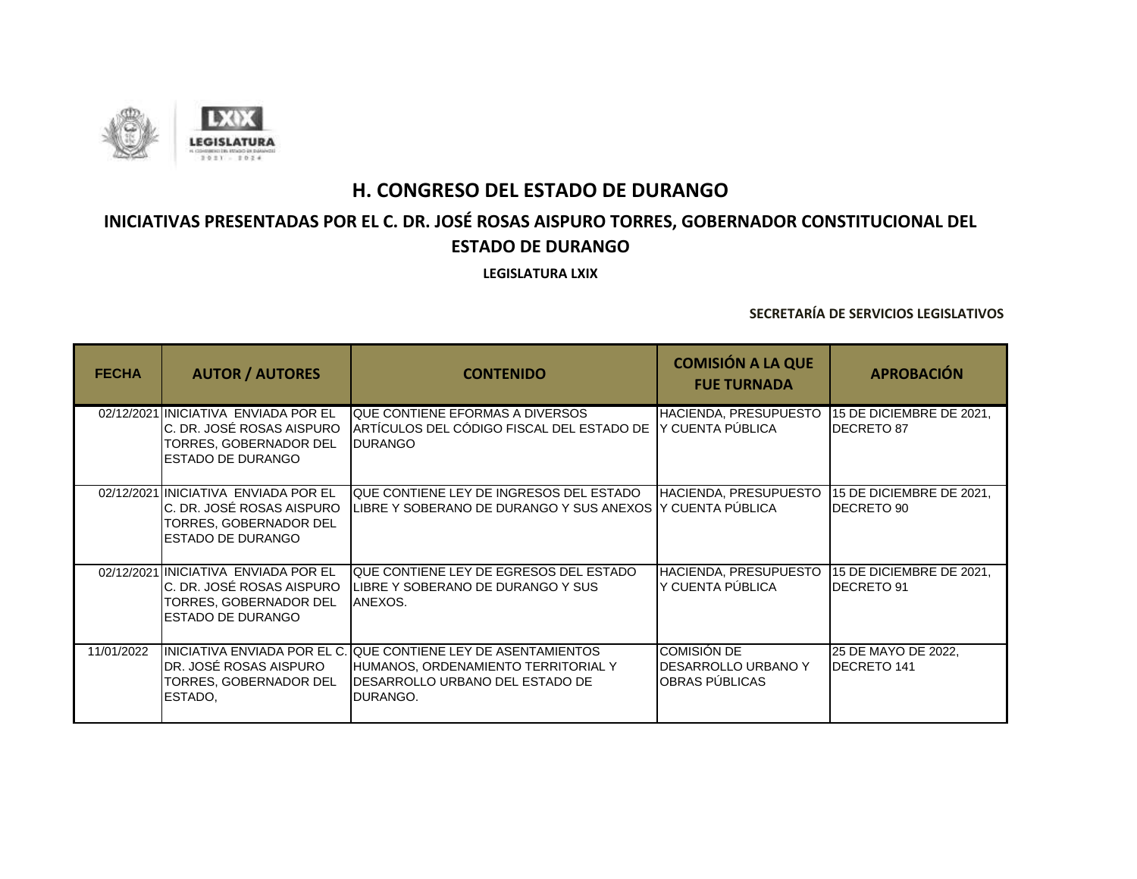

# **INICIATIVAS PRESENTADAS POR EL C. DR. JOSÉ ROSAS AISPURO TORRES, GOBERNADOR CONSTITUCIONAL DEL ESTADO DE DURANGO**

**LEGISLATURA LXIX**

| <b>FECHA</b> | <b>AUTOR / AUTORES</b>                                                                                                    | <b>CONTENIDO</b>                                                                                                                                              | <b>COMISIÓN A LA QUE</b><br><b>FUE TURNADA</b>       | <b>APROBACIÓN</b>                             |
|--------------|---------------------------------------------------------------------------------------------------------------------------|---------------------------------------------------------------------------------------------------------------------------------------------------------------|------------------------------------------------------|-----------------------------------------------|
|              | 02/12/2021 INICIATIVA ENVIADA POR EL<br>IC. DR. JOSÉ ROSAS AISPURO<br>TORRES, GOBERNADOR DEL<br><b>IESTADO DE DURANGO</b> | <b>QUE CONTIENE EFORMAS A DIVERSOS</b><br>ARTÍCULOS DEL CÓDIGO FISCAL DEL ESTADO DE<br><b>DURANGO</b>                                                         | HACIENDA, PRESUPUESTO<br>IY CUENTA PÚBLICA           | 15 DE DICIEMBRE DE 2021,<br><b>DECRETO 87</b> |
|              | 02/12/2021 INICIATIVA ENVIADA POR EL<br>C. DR. JOSÉ ROSAS AISPURO<br>TORRES, GOBERNADOR DEL<br><b>IESTADO DE DURANGO</b>  | QUE CONTIENE LEY DE INGRESOS DEL ESTADO<br>LIBRE Y SOBERANO DE DURANGO Y SUS ANEXOS Y CUENTA PÚBLICA                                                          | HACIENDA, PRESUPUESTO                                | 15 DE DICIEMBRE DE 2021,<br>DECRETO 90        |
|              | 02/12/2021 INICIATIVA ENVIADA POR EL<br>C. DR. JOSÉ ROSAS AISPURO<br>TORRES, GOBERNADOR DEL<br><b>IESTADO DE DURANGO</b>  | QUE CONTIENE LEY DE EGRESOS DEL ESTADO<br>LIBRE Y SOBERANO DE DURANGO Y SUS<br>ANEXOS.                                                                        | HACIENDA, PRESUPUESTO<br>Y CUENTA PÚBLICA            | 15 DE DICIEMBRE DE 2021,<br>DECRETO 91        |
| 11/01/2022   | DR. JOSÉ ROSAS AISPURO<br>TORRES, GOBERNADOR DEL<br>ESTADO.                                                               | IINICIATIVA ENVIADA POR EL C. QUE CONTIENE LEY DE ASENTAMIENTOS<br>HUMANOS, ORDENAMIENTO TERRITORIAL Y<br><b>IDESARROLLO URBANO DEL ESTADO DE</b><br>DURANGO. | COMISIÓN DE<br>DESARROLLO URBANO Y<br>OBRAS PÚBLICAS | 25 DE MAYO DE 2022,<br><b>DECRETO 141</b>     |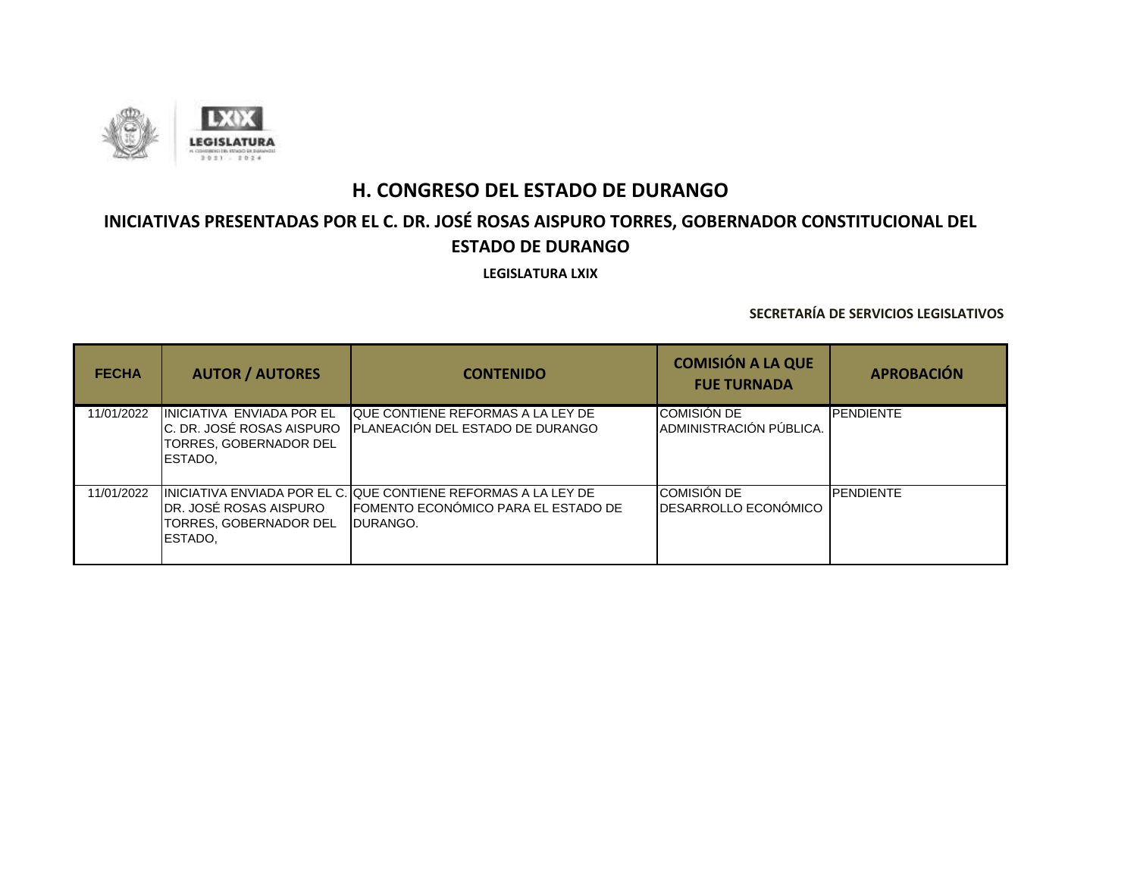

# **INICIATIVAS PRESENTADAS POR EL C. DR. JOSÉ ROSAS AISPURO TORRES, GOBERNADOR CONSTITUCIONAL DEL ESTADO DE DURANGO**

**LEGISLATURA LXIX**

| <b>FECHA</b> | <b>AUTOR / AUTORES</b>                                                                             | <b>CONTENIDO</b>                                                                                                           | <b>COMISIÓN A LA QUE</b><br><b>FUE TURNADA</b>     | <b>APROBACIÓN</b> |
|--------------|----------------------------------------------------------------------------------------------------|----------------------------------------------------------------------------------------------------------------------------|----------------------------------------------------|-------------------|
| 11/01/2022   | INICIATIVA ENVIADA POR EL<br>C. DR. JOSÉ ROSAS AISPURO<br><b>TORRES, GOBERNADOR DEL</b><br>ESTADO. | <b>QUE CONTIENE REFORMAS A LA LEY DE</b><br><b>IPLANEACIÓN DEL ESTADO DE DURANGO</b>                                       | <b>COMISIÓN DE</b><br>ADMINISTRACIÓN PÚBLICA.      | <b>PENDIENTE</b>  |
| 11/01/2022   | IDR. JOSÉ ROSAS AISPURO<br>TORRES, GOBERNADOR DEL<br><b>IESTADO.</b>                               | IINICIATIVA ENVIADA POR EL C. QUE CONTIENE REFORMAS A LA LEY DE<br><b>IFOMENTO ECONÓMICO PARA EL ESTADO DE</b><br>DURANGO. | <b>COMISIÓN DE</b><br><b>IDESARROLLO ECONÓMICO</b> | <b>PENDIENTE</b>  |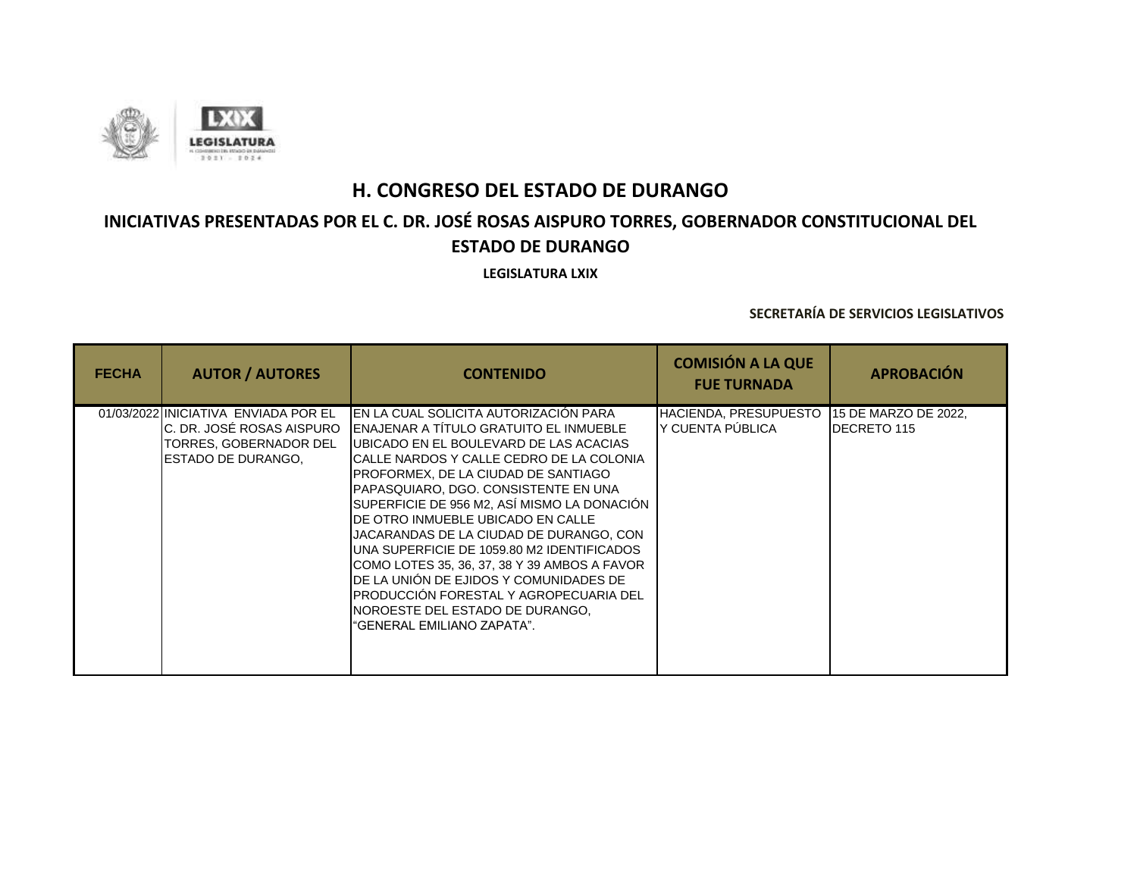

## **INICIATIVAS PRESENTADAS POR EL C. DR. JOSÉ ROSAS AISPURO TORRES, GOBERNADOR CONSTITUCIONAL DEL ESTADO DE DURANGO**

**LEGISLATURA LXIX**

| <b>FECHA</b> | <b>AUTOR / AUTORES</b>                                                                       | <b>CONTENIDO</b>                                                                                                                                                                                                                                                                                                                                                                                                                                                                                                                                                                                                                                                           | <b>COMISIÓN A LA QUE</b><br><b>FUE TURNADA</b> | <b>APROBACIÓN</b>                          |
|--------------|----------------------------------------------------------------------------------------------|----------------------------------------------------------------------------------------------------------------------------------------------------------------------------------------------------------------------------------------------------------------------------------------------------------------------------------------------------------------------------------------------------------------------------------------------------------------------------------------------------------------------------------------------------------------------------------------------------------------------------------------------------------------------------|------------------------------------------------|--------------------------------------------|
|              | 01/03/2022 INICIATIVA ENVIADA POR EL<br>TORRES, GOBERNADOR DEL<br><b>IESTADO DE DURANGO.</b> | IEN LA CUAL SOLICITA AUTORIZACIÓN PARA<br>IC. DR. JOSÉ ROSAS AISPURO IENAJENAR A TÍTULO GRATUITO EL INMUEBLE<br><b>UBICADO EN EL BOULEVARD DE LAS ACACIAS</b><br>CALLE NARDOS Y CALLE CEDRO DE LA COLONIA<br>PROFORMEX, DE LA CIUDAD DE SANTIAGO<br>PAPASQUIARO, DGO. CONSISTENTE EN UNA<br>SUPERFICIE DE 956 M2, ASÍ MISMO LA DONACIÓN<br>DE OTRO INMUEBLE UBICADO EN CALLE<br>JACARANDAS DE LA CIUDAD DE DURANGO, CON<br>UNA SUPERFICIE DE 1059.80 M2 IDENTIFICADOS<br>COMO LOTES 35, 36, 37, 38 Y 39 AMBOS A FAVOR<br>DE LA UNIÓN DE EJIDOS Y COMUNIDADES DE<br>PRODUCCIÓN FORESTAL Y AGROPECUARIA DEL<br>NOROESTE DEL ESTADO DE DURANGO.<br>"GENERAL EMILIANO ZAPATA". | HACIENDA, PRESUPUESTO<br>Y CUENTA PÚBLICA      | 15 DE MARZO DE 2022,<br><b>DECRETO 115</b> |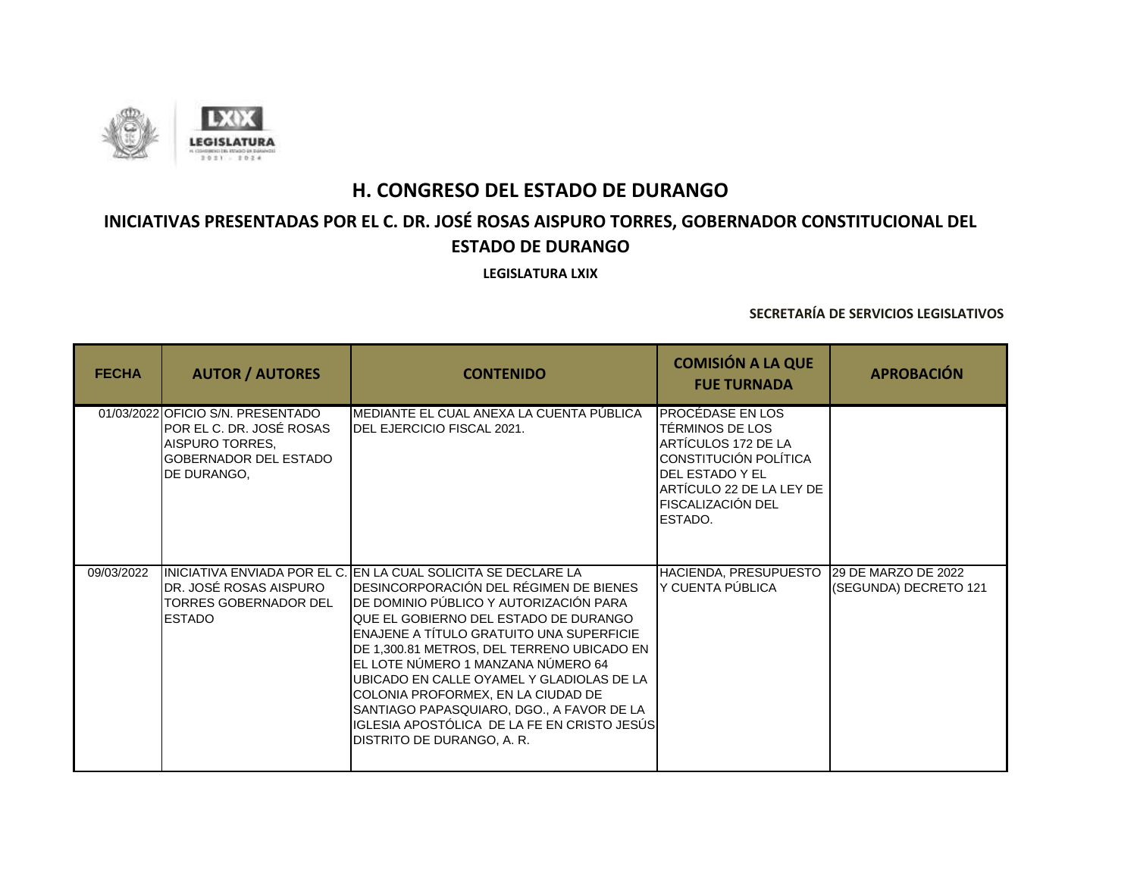

# **INICIATIVAS PRESENTADAS POR EL C. DR. JOSÉ ROSAS AISPURO TORRES, GOBERNADOR CONSTITUCIONAL DEL ESTADO DE DURANGO**

**LEGISLATURA LXIX**

| <b>FECHA</b> | <b>AUTOR / AUTORES</b>                                                                                                          | <b>CONTENIDO</b>                                                                                                                                                                                                                                                                                                                                                                                                                                                                                                                                  | <b>COMISIÓN A LA QUE</b><br><b>FUE TURNADA</b>                                                                                                                            | <b>APROBACIÓN</b>                            |
|--------------|---------------------------------------------------------------------------------------------------------------------------------|---------------------------------------------------------------------------------------------------------------------------------------------------------------------------------------------------------------------------------------------------------------------------------------------------------------------------------------------------------------------------------------------------------------------------------------------------------------------------------------------------------------------------------------------------|---------------------------------------------------------------------------------------------------------------------------------------------------------------------------|----------------------------------------------|
|              | 01/03/2022 OFICIO S/N. PRESENTADO<br>POR EL C. DR. JOSÉ ROSAS<br>AISPURO TORRES,<br><b>GOBERNADOR DEL ESTADO</b><br>DE DURANGO. | MEDIANTE EL CUAL ANEXA LA CUENTA PÚBLICA<br><b>IDEL EJERCICIO FISCAL 2021.</b>                                                                                                                                                                                                                                                                                                                                                                                                                                                                    | PROCÉDASE EN LOS<br>TÉRMINOS DE LOS<br>ARTÍCULOS 172 DE LA<br>CONSTITUCIÓN POLÍTICA<br>DEL ESTADO Y EL<br>ARTÍCULO 22 DE LA LEY DE<br><b>FISCALIZACIÓN DEL</b><br>ESTADO. |                                              |
| 09/03/2022   | DR. JOSÉ ROSAS AISPURO<br><b>TORRES GOBERNADOR DEL</b><br><b>ESTADO</b>                                                         | IINICIATIVA ENVIADA POR EL C. IEN LA CUAL SOLICITA SE DECLARE LA<br>DESINCORPORACIÓN DEL RÉGIMEN DE BIENES<br>DE DOMINIO PÚBLICO Y AUTORIZACIÓN PARA<br>QUE EL GOBIERNO DEL ESTADO DE DURANGO<br><b>ENAJENE A TÍTULO GRATUITO UNA SUPERFICIE</b><br>DE 1,300.81 METROS, DEL TERRENO UBICADO EN<br>EL LOTE NÚMERO 1 MANZANA NÚMERO 64<br>UBICADO EN CALLE OYAMEL Y GLADIOLAS DE LA<br>COLONIA PROFORMEX, EN LA CIUDAD DE<br>SANTIAGO PAPASQUIARO, DGO., A FAVOR DE LA<br>IGLESIA APOSTÓLICA DE LA FE EN CRISTO JESÚS<br>DISTRITO DE DURANGO, A. R. | HACIENDA, PRESUPUESTO<br>Y CUENTA PÚBLICA                                                                                                                                 | 29 DE MARZO DE 2022<br>(SEGUNDA) DECRETO 121 |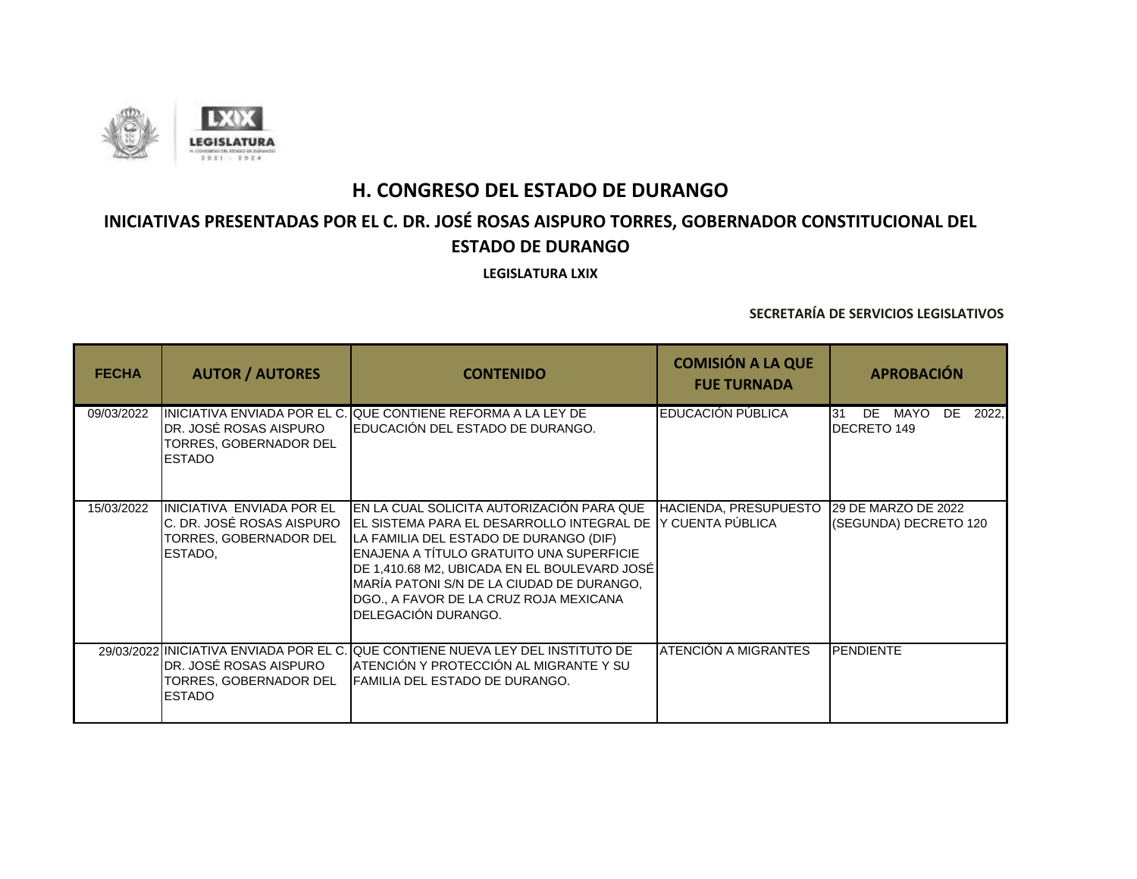

# **INICIATIVAS PRESENTADAS POR EL C. DR. JOSÉ ROSAS AISPURO TORRES, GOBERNADOR CONSTITUCIONAL DEL ESTADO DE DURANGO**

**LEGISLATURA LXIX**

| <b>FECHA</b> | <b>AUTOR / AUTORES</b>                                                                       | <b>CONTENIDO</b>                                                                                                                                                                                                                                                                                                                             | <b>COMISIÓN A LA QUE</b><br><b>FUE TURNADA</b>   | <b>APROBACIÓN</b>                                  |
|--------------|----------------------------------------------------------------------------------------------|----------------------------------------------------------------------------------------------------------------------------------------------------------------------------------------------------------------------------------------------------------------------------------------------------------------------------------------------|--------------------------------------------------|----------------------------------------------------|
| 09/03/2022   | DR. JOSÉ ROSAS AISPURO<br>TORRES, GOBERNADOR DEL<br><b>IESTADO</b>                           | IINICIATIVA ENVIADA POR EL C. QUE CONTIENE REFORMA A LA LEY DE<br>EDUCACIÓN DEL ESTADO DE DURANGO.                                                                                                                                                                                                                                           | EDUCACIÓN PÚBLICA                                | DE MAYO<br>DE<br>2022.<br>31<br><b>DECRETO 149</b> |
| 15/03/2022   | IINICIATIVA ENVIADA POR EL<br>C. DR. JOSÉ ROSAS AISPURO<br>TORRES, GOBERNADOR DEL<br>ESTADO. | IEN LA CUAL SOLICITA AUTORIZACIÓN PARA QUE<br>IEL SISTEMA PARA EL DESARROLLO INTEGRAL DE<br>LA FAMILIA DEL ESTADO DE DURANGO (DIF)<br>ENAJENA A TÍTULO GRATUITO UNA SUPERFICIE<br>DE 1,410.68 M2, UBICADA EN EL BOULEVARD JOSÉ<br>MARÍA PATONI S/N DE LA CIUDAD DE DURANGO.<br>DGO., A FAVOR DE LA CRUZ ROJA MEXICANA<br>DELEGACIÓN DURANGO. | <b>HACIENDA, PRESUPUESTO</b><br>Y CUENTA PÚBLICA | 29 DE MARZO DE 2022<br>(SEGUNDA) DECRETO 120       |
|              | DR. JOSÉ ROSAS AISPURO<br>TORRES, GOBERNADOR DEL<br><b>ESTADO</b>                            | 29/03/2022 INICIATIVA ENVIADA POR EL C. QUE CONTIENE NUEVA LEY DEL INSTITUTO DE<br>ATENCIÓN Y PROTECCIÓN AL MIGRANTE Y SU<br>IFAMILIA DEL ESTADO DE DURANGO.                                                                                                                                                                                 | ATENCIÓN A MIGRANTES                             | <b>PENDIENTE</b>                                   |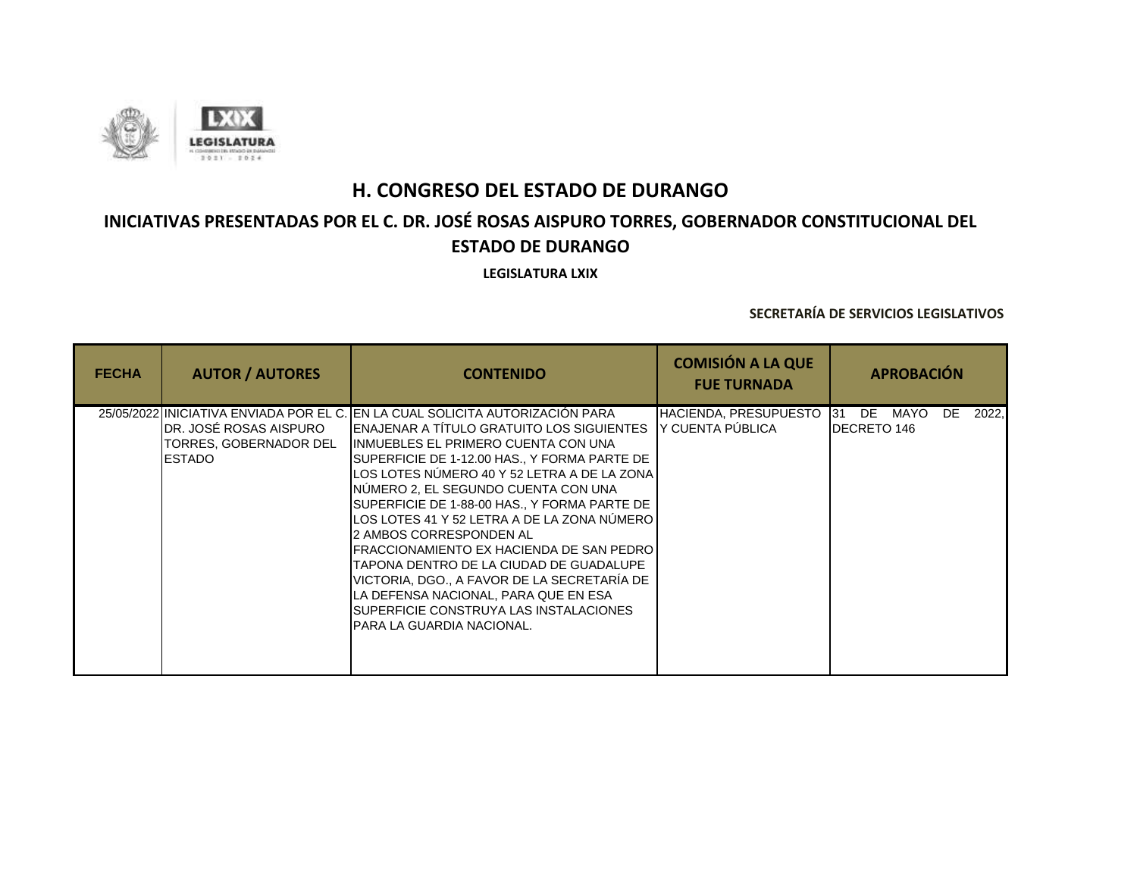

# **INICIATIVAS PRESENTADAS POR EL C. DR. JOSÉ ROSAS AISPURO TORRES, GOBERNADOR CONSTITUCIONAL DEL ESTADO DE DURANGO**

**LEGISLATURA LXIX**

| <b>FECHA</b> | <b>AUTOR / AUTORES</b>                                              | <b>CONTENIDO</b>                                                                                                                                                                                                                                                                                                                                                                                                                                                                                                                                                                                                                                                                                                    | <b>COMISIÓN A LA QUE</b><br><b>FUE TURNADA</b>       | <b>APROBACIÓN</b>                               |
|--------------|---------------------------------------------------------------------|---------------------------------------------------------------------------------------------------------------------------------------------------------------------------------------------------------------------------------------------------------------------------------------------------------------------------------------------------------------------------------------------------------------------------------------------------------------------------------------------------------------------------------------------------------------------------------------------------------------------------------------------------------------------------------------------------------------------|------------------------------------------------------|-------------------------------------------------|
|              | IDR. JOSÉ ROSAS AISPURO<br>TORRES, GOBERNADOR DEL<br><b>IESTADO</b> | 25/05/2022 IINICIATIVA ENVIADA POR EL C. IEN LA CUAL SOLICITA AUTORIZACIÓN PARA<br><b>IENAJENAR A TÍTULO GRATUITO LOS SIGUIENTES</b><br><b>IINMUEBLES EL PRIMERO CUENTA CON UNA</b><br>SUPERFICIE DE 1-12.00 HAS., Y FORMA PARTE DE<br>LOS LOTES NÚMERO 40 Y 52 LETRA A DE LA ZONA<br>INÚMERO 2, EL SEGUNDO CUENTA CON UNA<br>SUPERFICIE DE 1-88-00 HAS., Y FORMA PARTE DE<br>LOS LOTES 41 Y 52 LETRA A DE LA ZONA NÚMERO<br>I2 AMBOS CORRESPONDEN AL<br>IFRACCIONAMIENTO EX HACIENDA DE SAN PEDRO<br>TAPONA DENTRO DE LA CIUDAD DE GUADALUPE<br>VICTORIA, DGO., A FAVOR DE LA SECRETARÍA DE<br>LA DEFENSA NACIONAL, PARA QUE EN ESA<br><b>SUPERFICIE CONSTRUYA LAS INSTALACIONES</b><br>IPARA LA GUARDIA NACIONAL. | HACIENDA, PRESUPUESTO 131<br><b>Y CUENTA PÚBLICA</b> | DE<br>MAYO<br>2022,<br>DE<br><b>DECRETO 146</b> |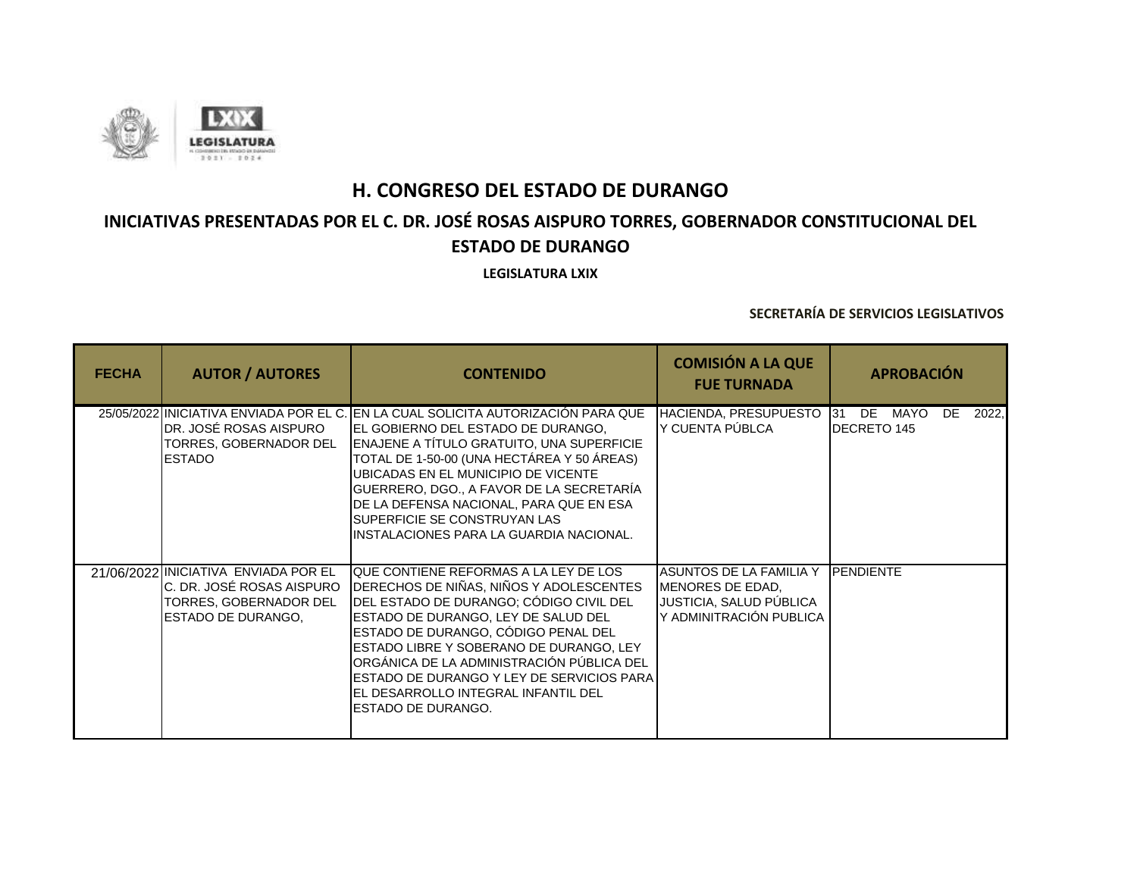

## **INICIATIVAS PRESENTADAS POR EL C. DR. JOSÉ ROSAS AISPURO TORRES, GOBERNADOR CONSTITUCIONAL DEL ESTADO DE DURANGO**

**LEGISLATURA LXIX**

| <b>FECHA</b> | <b>AUTOR / AUTORES</b>                                                                                                    | <b>CONTENIDO</b>                                                                                                                                                                                                                                                                                                                                                                                                             | <b>COMISIÓN A LA QUE</b><br><b>FUE TURNADA</b>                                                    | <b>APROBACIÓN</b>                           |
|--------------|---------------------------------------------------------------------------------------------------------------------------|------------------------------------------------------------------------------------------------------------------------------------------------------------------------------------------------------------------------------------------------------------------------------------------------------------------------------------------------------------------------------------------------------------------------------|---------------------------------------------------------------------------------------------------|---------------------------------------------|
|              | DR. JOSÉ ROSAS AISPURO<br>TORRES, GOBERNADOR DEL<br><b>ESTADO</b>                                                         | 25/05/2022 INICIATIVA ENVIADA POR EL C. IEN LA CUAL SOLICITA AUTORIZACIÓN PARA QUE<br>EL GOBIERNO DEL ESTADO DE DURANGO.<br>ENAJENE A TÍTULO GRATUITO, UNA SUPERFICIE<br>TOTAL DE 1-50-00 (UNA HECTÁREA Y 50 ÁREAS)<br>UBICADAS EN EL MUNICIPIO DE VICENTE<br>GUERRERO, DGO., A FAVOR DE LA SECRETARÍA<br>DE LA DEFENSA NACIONAL, PARA QUE EN ESA<br>SUPERFICIE SE CONSTRUYAN LAS<br>INSTALACIONES PARA LA GUARDIA NACIONAL. | HACIENDA, PRESUPUESTO<br>Y CUENTA PÚBLCA                                                          | DE MAYO<br>DE<br>2022,<br>31<br>DECRETO 145 |
|              | 21/06/2022 INICIATIVA ENVIADA POR EL<br>IC. DR. JOSÉ ROSAS AISPURO<br>TORRES, GOBERNADOR DEL<br><b>ESTADO DE DURANGO.</b> | QUE CONTIENE REFORMAS A LA LEY DE LOS<br>DERECHOS DE NIÑAS, NIÑOS Y ADOLESCENTES<br>DEL ESTADO DE DURANGO; CÓDIGO CIVIL DEL<br>ESTADO DE DURANGO, LEY DE SALUD DEL<br>ESTADO DE DURANGO, CÓDIGO PENAL DEL<br>ESTADO LIBRE Y SOBERANO DE DURANGO, LEY<br>ORGÁNICA DE LA ADMINISTRACIÓN PÚBLICA DEL<br>ESTADO DE DURANGO Y LEY DE SERVICIOS PARA<br>EL DESARROLLO INTEGRAL INFANTIL DEL<br>ESTADO DE DURANGO.                  | ASUNTOS DE LA FAMILIA Y<br>MENORES DE EDAD,<br>JUSTICIA, SALUD PÚBLICA<br>Y ADMINITRACIÓN PUBLICA | <b>PENDIENTE</b>                            |